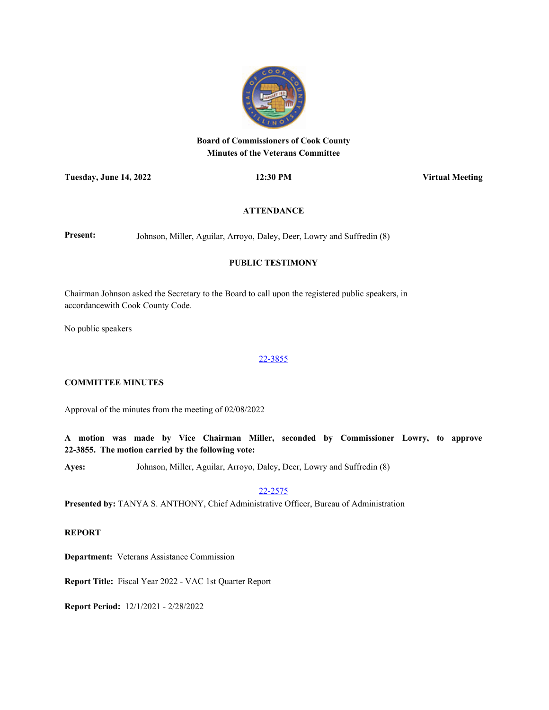

# **Board of Commissioners of Cook County Minutes of the Veterans Committee**

**Tuesday, June 14, 2022 12:30 PM Virtual Meeting**

### **ATTENDANCE**

Present: Johnson, Miller, Aguilar, Arroyo, Daley, Deer, Lowry and Suffredin (8)

### **PUBLIC TESTIMONY**

Chairman Johnson asked the Secretary to the Board to call upon the registered public speakers, in accordancewith Cook County Code.

No public speakers

#### [22-3855](http://cook-county.legistar.com/gateway.aspx?m=l&id=/matter.aspx?key=61958)

# **COMMITTEE MINUTES**

Approval of the minutes from the meeting of 02/08/2022

**A motion was made by Vice Chairman Miller, seconded by Commissioner Lowry, to approve 22-3855. The motion carried by the following vote:**

**Ayes:** Johnson, Miller, Aguilar, Arroyo, Daley, Deer, Lowry and Suffredin (8)

[22-2575](http://cook-county.legistar.com/gateway.aspx?m=l&id=/matter.aspx?key=60763)

**Presented by:** TANYA S. ANTHONY, Chief Administrative Officer, Bureau of Administration

#### **REPORT**

**Department:** Veterans Assistance Commission

**Report Title:** Fiscal Year 2022 - VAC 1st Quarter Report

**Report Period:** 12/1/2021 - 2/28/2022